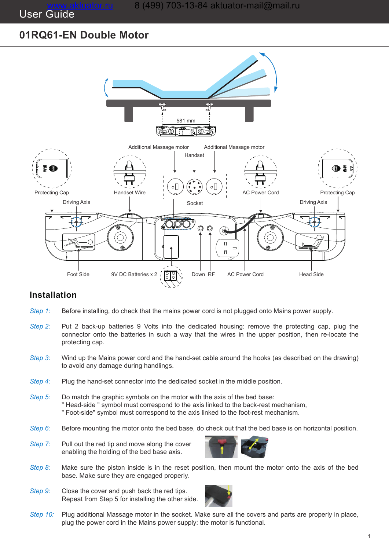User Guide

# **01RQ61-EN Double Motor**



# **Installation**

- Before installing, do check that the mains power cord is not plugged onto Mains power supply. *Step 1:*
- Put 2 back-up batteries 9 Volts into the dedicated housing: remove the protecting cap, plug the connector onto the batteries in such a way that the wires in the upper position, then re-locate the protecting cap. *Step 2:*
- Wind up the Mains power cord and the hand-set cable around the hooks (as described on the drawing) to avoid any damage during handlings. *Step 3:*
- Plug the hand-set connector into the dedicated socket in the middle position. *Step 4:*
- Do match the graphic symbols on the motor with the axis of the bed base: " Head-side " symbol must correspond to the axis linked to the back-rest mechanism, " Foot-side" symbol must correspond to the axis linked to the foot-rest mechanism. *Step 5:*
- Before mounting the motor onto the bed base, do check out that the bed base is on horizontal position. *Step 6:*
- Pull out the red tip and move along the cover enabling the holding of the bed base axis. *Step 7:*



- Make sure the piston inside is in the reset position, then mount the motor onto the axis of the bed base. Make sure they are engaged properly. *Step 8:*
- Close the cover and push back the red tips. Repeat from Step 5 for installing the other side. *Step 9:*



Plug additional Massage motor in the socket. Make sure all the covers and parts are properly in place, plug the power cord in the Mains power supply: the motor is functional. *Step 10:*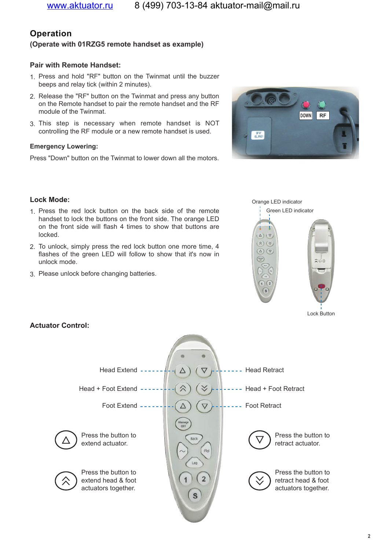# **Operation**

# **(Operate with 01RZG5 remote handset as example)**

# **Pair with Remote Handset:**

- 1. Press and hold "RF" button on the Twinmat until the buzzer beeps and relay tick (within 2 minutes).
- 2. Release the "RF" button on the Twinmat and press any button on the Remote handset to pair the remote handset and the RF module of the Twinmat.
- 3. This step is necessary when remote handset is NOT controlling the RF module or a new remote handset is used.

### **Emergency Lowering:**

Press "Down" button on the Twinmat to lower down all the motors.





Orange LED indicator

#### Lock Button

#### **Lock Mode:**

- 1. Press the red lock button on the back side of the remote handset to lock the buttons on the front side. The orange LED on the front side will flash 4 times to show that buttons are locked.
- 2. To unlock, simply press the red lock button one more time, 4 flashes of the green LED will follow to show that it's now in unlock mode.
- 3. Please unlock before changing batteries.



# **Actuator Control:**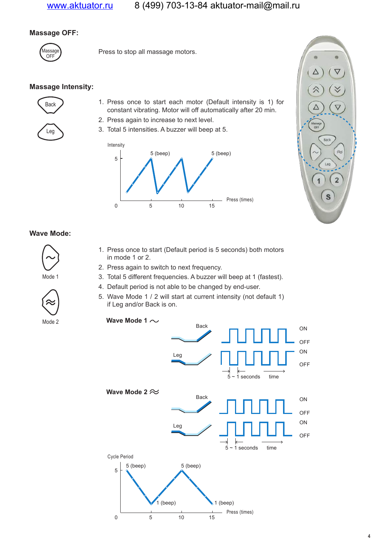# www.aktuator.ru 8 (499) 703-13-84 aktuator-mail@mail.ru

# **Massage OFF:**



 $M$ assage  $\overline{O}$  Press to stop all massage motors.

# **Massage Intensity:**



- 1. Press once to start each motor (Default intensity is 1) for constant vibrating. Motor will off automatically after 20 min.
- 2. Press again to increase to next level.
- 3. Total 5 intensities. A buzzer will beep at 5.





#### **Wave Mode:**



Mode 1



- 1. Press once to start (Default period is 5 seconds) both motors in mode 1 or 2.
- 2. Press again to switch to next frequency.
- 3. Total 5 different frequencies. A buzzer will beep at 1 (fastest).
- 4. Default period is not able to be changed by end-user.
- 5. Wave Mode 1 / 2 will start at current intensity (not default 1) if Leg and/or Back is on.



Mode 2